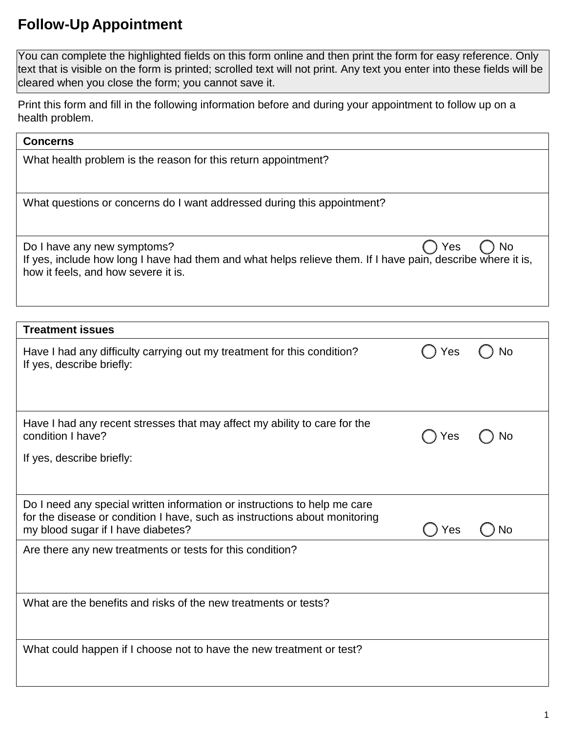## **Follow-Up Appointment**

 You can complete the highlighted fields on this form online and then print the form for easy reference. Only text that is visible on the form is printed; scrolled text will not print. Any text you enter into these fields will be cleared when you close the form; you cannot save it.

 Print this form and fill in the following information before and during your appointment to follow up on a health problem.

| <b>Concerns</b>                                                                                                                                                                                |     |    |  |
|------------------------------------------------------------------------------------------------------------------------------------------------------------------------------------------------|-----|----|--|
| What health problem is the reason for this return appointment?                                                                                                                                 |     |    |  |
| What questions or concerns do I want addressed during this appointment?                                                                                                                        |     |    |  |
| Do I have any new symptoms?<br>Yes<br>No<br>If yes, include how long I have had them and what helps relieve them. If I have pain, describe where it is,<br>how it feels, and how severe it is. |     |    |  |
| <b>Treatment issues</b>                                                                                                                                                                        |     |    |  |
| Have I had any difficulty carrying out my treatment for this condition?<br>If yes, describe briefly:                                                                                           | Yes | No |  |
| Have I had any recent stresses that may affect my ability to care for the<br>condition I have?<br>If yes, describe briefly:                                                                    | Yes | No |  |
| Do I need any special written information or instructions to help me care<br>for the disease or condition I have, such as instructions about monitoring<br>my blood sugar if I have diabetes?  | Yes | No |  |
| Are there any new treatments or tests for this condition?                                                                                                                                      |     |    |  |
| What are the benefits and risks of the new treatments or tests?                                                                                                                                |     |    |  |
| What could happen if I choose not to have the new treatment or test?                                                                                                                           |     |    |  |